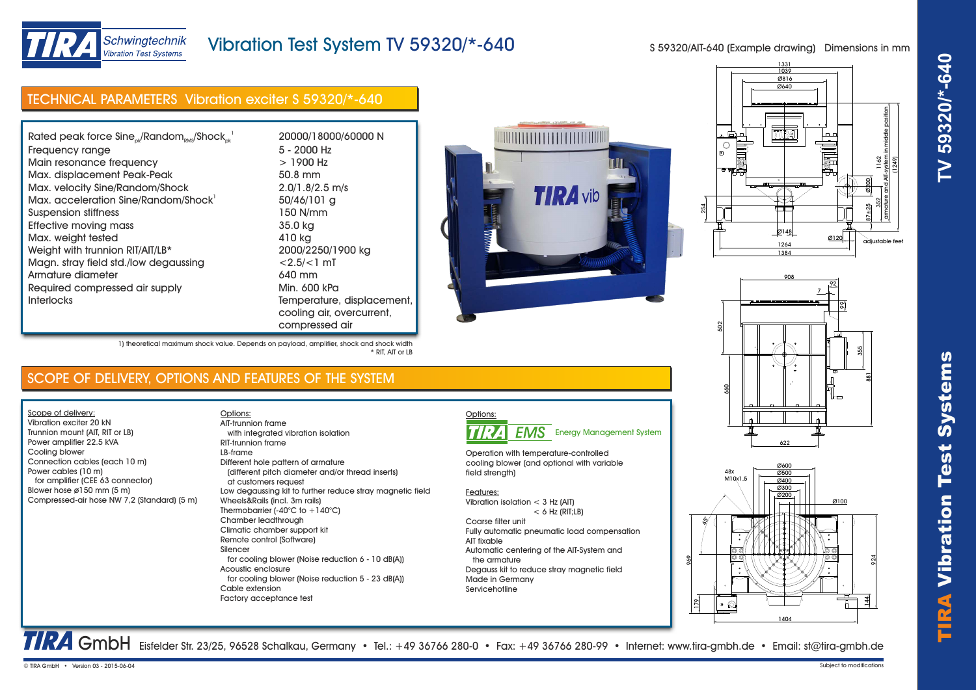

TIRA Vibr ation Test Systems **TV 59320/\*-640**



# Vibration Test System TV 59320/\*-640

S 59320/AIT-640 (Example drawing) Dimensions in mm

# TECHNICAL PARAMETERS Vibration exciter S 59320/\*-640

| Rated peak force $Sine_{nk}/Random_{nns}/Shock_{nk}^{-1}$ | 20000/18000/60000 N     |
|-----------------------------------------------------------|-------------------------|
| Frequency range                                           | 5 - 2000 Hz             |
| Main resonance frequency                                  | $>1900$ Hz              |
| Max. displacement Peak-Peak                               | 50.8 mm                 |
| Max. velocity Sine/Random/Shock                           | 2.0/1.8/2.5 m/s         |
| Max. acceleration Sine/Random/Shock                       | 50/46/101 g             |
| Suspension stiffness                                      | 150 N/mm                |
| <b>Effective moving mass</b>                              | 35.0 kg                 |
| Max. weight tested                                        | 410 kg                  |
| Weight with trunnion RIT/AIT/LB*                          | 2000/2250/1900 kg       |
| Magn. stray field std./low degaussing                     | $< 2.5 / < 1$ mT        |
| Armature diameter                                         | 640 mm                  |
| Required compressed air supply                            | Min. 600 kPa            |
| <b>Interlocks</b>                                         | Temperature, displace   |
|                                                           | cooling air, overcurrer |

re, displacement, overcurrent. compressed air









TRA GmbH Eisfelder Str. 23/25, 96528 Schalkau, Germany • Tel.: +49 36766 280-0 • Fax: +49 36766 280-99 • Internet: www.tira-gmbh.de • Email: st@tira-gmbh.de

1) theoretical maximum shock value. Depends on payload, amplifier, shock and shock width \* RIT, AIT or LB

### SCOPE OF DELIVERY, OPTIONS AND FEATURES OF THE SYSTEM

Options:

Scope of delivery: Vibration exciter 20 kN Trunnion mount (AIT, RIT or LB) Power amplifier 22.5 kVA Cooling blower Connection cables (each 10 m) Power cables (10 m) for amplifier (CEE 63 connector) Blower hose ø150 mm (5 m) Compressed-air hose NW 7,2 (Standard) (5 m)

 with integrated vibration isolation RIT-trunnion frame LB-frame Different hole pattern of armature (different pitch diameter and/or thread inserts) at customers request Low degaussing kit to further reduce stray magnetic field Wheels&Rails (incl. 3m rails) Thermobarrier (-40°C to +140°C) Chamber leadthrough Climatic chamber support kit Remote control (Software) Silencer for cooling blower (Noise reduction 6 - 10 dB(A)) Acoustic enclosure for cooling blower (Noise reduction 5 - 23 dB(A)) Cable extension Factory acceptance test AIT-trunnion frame



Operation with temperature-controlled cooling blower (and optional with variable field strength)

### Features:

Vibration isolation < 3 Hz (AIT)  $< 6$  Hz (RIT;  $\vert$  B) Coarse filter unit Fully automatic pneumatic load compensation AIT fixable

Automatic centering of the AIT-System and the armature Degauss kit to reduce stray magnetic field Made in Germany Servicehotline